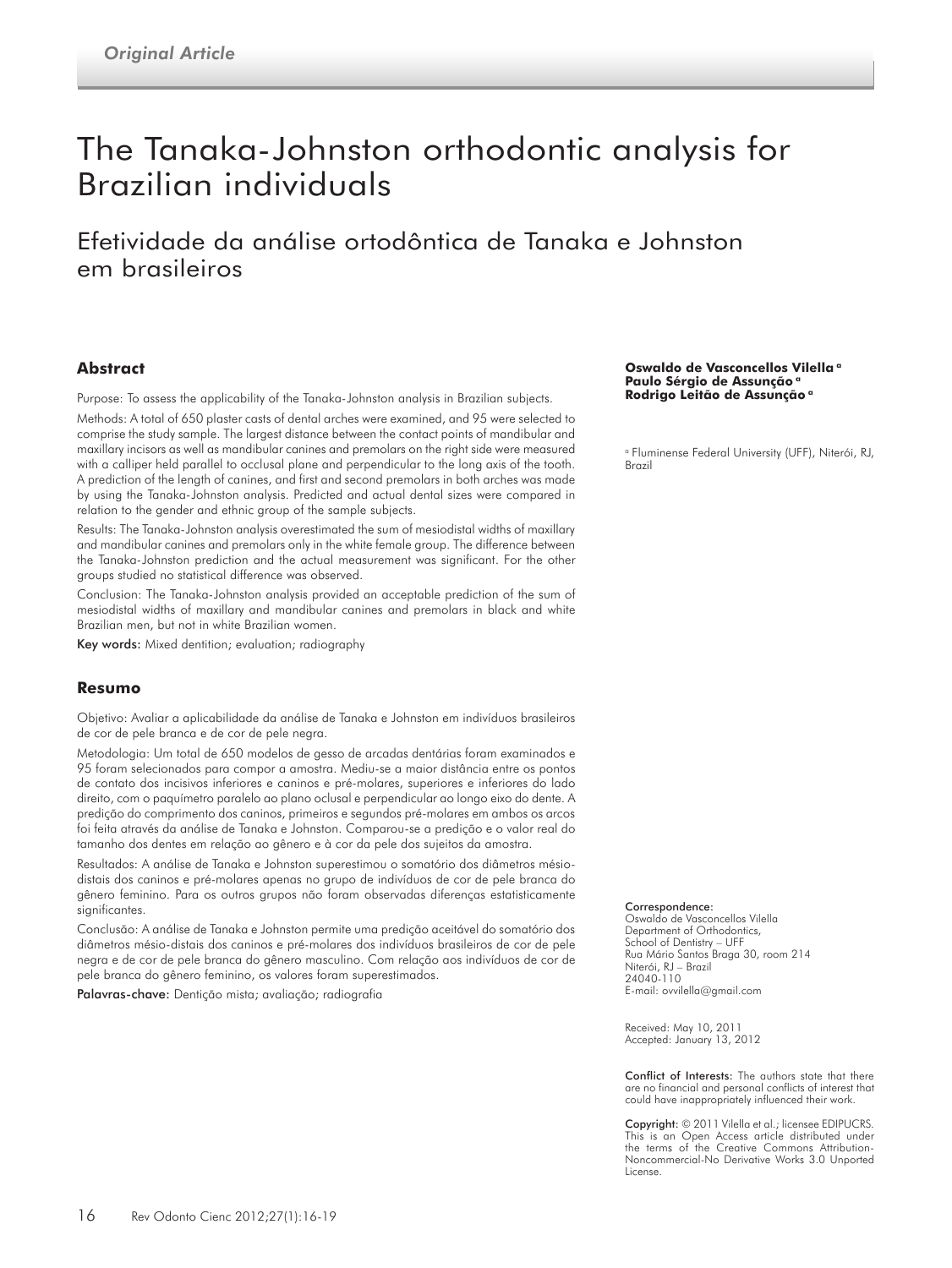# The Tanaka-Johnston orthodontic analysis for Brazilian individuals

Efetividade da análise ortodôntica de Tanaka e Johnston em brasileiros

## **Abstract**

Purpose: To assess the applicability of the Tanaka-Johnston analysis in Brazilian subjects. Methods: A total of 650 plaster casts of dental arches were examined, and 95 were selected to comprise the study sample. The largest distance between the contact points of mandibular and maxillary incisors as well as mandibular canines and premolars on the right side were measured with a calliper held parallel to occlusal plane and perpendicular to the long axis of the tooth. A prediction of the length of canines, and first and second premolars in both arches was made by using the Tanaka-Johnston analysis. Predicted and actual dental sizes were compared in relation to the gender and ethnic group of the sample subjects.

Results: The Tanaka-Johnston analysis overestimated the sum of mesiodistal widths of maxillary and mandibular canines and premolars only in the white female group. The difference between the Tanaka-Johnston prediction and the actual measurement was significant. For the other groups studied no statistical difference was observed.

Conclusion: The Tanaka-Johnston analysis provided an acceptable prediction of the sum of mesiodistal widths of maxillary and mandibular canines and premolars in black and white Brazilian men, but not in white Brazilian women.

Key words: Mixed dentition; evaluation; radiography

### **Resumo**

Objetivo: Avaliar a aplicabilidade da análise de Tanaka e Johnston em indivíduos brasileiros de cor de pele branca e de cor de pele negra.

Metodologia: Um total de 650 modelos de gesso de arcadas dentárias foram examinados e 95 foram selecionados para compor a amostra. Mediu-se a maior distância entre os pontos de contato dos incisivos inferiores e caninos e pré-molares, superiores e inferiores do lado direito, com o paquímetro paralelo ao plano oclusal e perpendicular ao longo eixo do dente. A predição do comprimento dos caninos, primeiros e segundos pré-molares em ambos os arcos foi feita através da análise de Tanaka e Johnston. Comparou-se a predição e o valor real do tamanho dos dentes em relação ao gênero e à cor da pele dos sujeitos da amostra.

Resultados: A análise de Tanaka e Johnston superestimou o somatório dos diâmetros mésiodistais dos caninos e pré-molares apenas no grupo de indivíduos de cor de pele branca do gênero feminino. Para os outros grupos não foram observadas diferenças estatisticamente significantes.

Conclusão: A análise de Tanaka e Johnston permite uma predição aceitável do somatório dos diâmetros mésio-distais dos caninos e pré-molares dos indivíduos brasileiros de cor de pele negra e de cor de pele branca do gênero masculino. Com relação aos indivíduos de cor de pele branca do gênero feminino, os valores foram superestimados.

Palavras-chave: Dentição mista; avaliação; radiografia

#### **Oswaldo de Vasconcellos Vilella a Paulo Sérgio de Assunção Rodrigo Leitão de Assunção a**

<sup>a</sup> Fluminense Federal University (UFF), Niterói, RJ, Brazil

#### Correspondence:

Oswaldo de Vasconcellos Vilella Department of Orthodontics, School of Dentistry – UFF Rua Mário Santos Braga 30, room 214 Niterói, RJ – Brazil 24040-110 E-mail: ovvilella@gmail.com

Received: May 10, 2011 Accepted: January 13, 2012

Conflict of Interests: The authors state that there are no financial and personal conflicts of interest that could have inappropriately influenced their work.

Copyright: © 2011 Vilella et al.; licensee EDIPUCRS. This is an Open Access article distributed under the terms of the Creative Commons Attribution-Noncommercial-No Derivative Works 3.0 Unported License.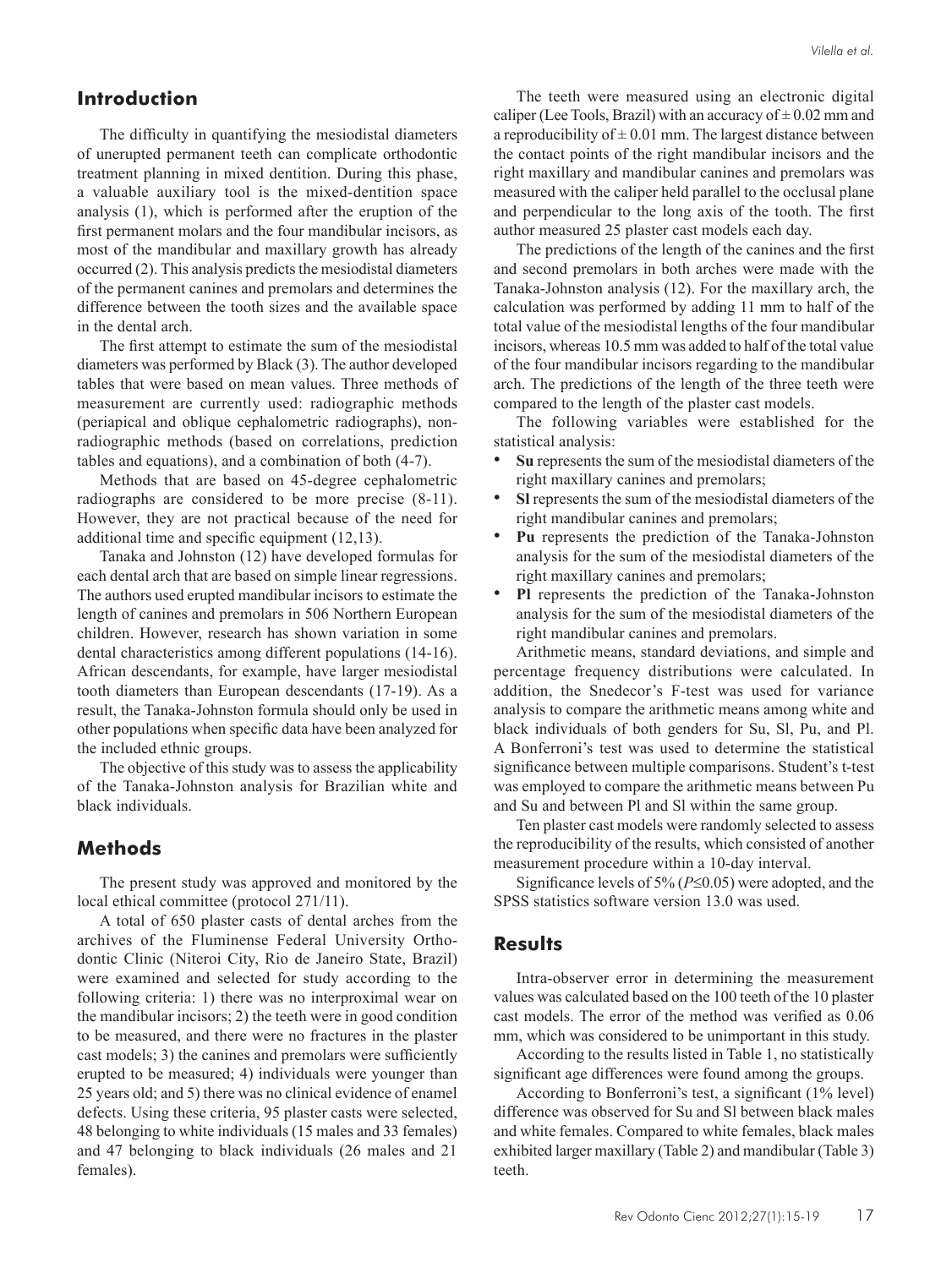The difficulty in quantifying the mesiodistal diameters of unerupted permanent teeth can complicate orthodontic treatment planning in mixed dentition. During this phase, a valuable auxiliary tool is the mixed-dentition space analysis (1), which is performed after the eruption of the first permanent molars and the four mandibular incisors, as most of the mandibular and maxillary growth has already occurred (2). This analysis predicts the mesiodistal diameters of the permanent canines and premolars and determines the difference between the tooth sizes and the available space in the dental arch.

The first attempt to estimate the sum of the mesiodistal diameters was performed by Black (3). The author developed tables that were based on mean values. Three methods of measurement are currently used: radiographic methods (periapical and oblique cephalometric radiographs), nonradiographic methods (based on correlations, prediction tables and equations), and a combination of both (4-7).

Methods that are based on 45-degree cephalometric radiographs are considered to be more precise (8-11). However, they are not practical because of the need for additional time and specific equipment (12,13).

Tanaka and Johnston (12) have developed formulas for each dental arch that are based on simple linear regressions. The authors used erupted mandibular incisors to estimate the length of canines and premolars in 506 Northern European children. However, research has shown variation in some dental characteristics among different populations (14-16). African descendants, for example, have larger mesiodistal tooth diameters than European descendants (17-19). As a result, the Tanaka-Johnston formula should only be used in other populations when specific data have been analyzed for the included ethnic groups.

The objective of this study was to assess the applicability of the Tanaka-Johnston analysis for Brazilian white and black individuals.

# **Methods**

The present study was approved and monitored by the local ethical committee (protocol 271/11).

A total of 650 plaster casts of dental arches from the archives of the Fluminense Federal University Orthodontic Clinic (Niteroi City, Rio de Janeiro State, Brazil) were examined and selected for study according to the following criteria: 1) there was no interproximal wear on the mandibular incisors; 2) the teeth were in good condition to be measured, and there were no fractures in the plaster cast models; 3) the canines and premolars were sufficiently erupted to be measured; 4) individuals were younger than 25 years old; and 5) there was no clinical evidence of enamel defects. Using these criteria, 95 plaster casts were selected, 48 belonging to white individuals (15 males and 33 females) and 47 belonging to black individuals (26 males and 21 females).

The teeth were measured using an electronic digital caliper (Lee Tools, Brazil) with an accuracy of  $\pm$  0.02 mm and a reproducibility of  $\pm$  0.01 mm. The largest distance between the contact points of the right mandibular incisors and the right maxillary and mandibular canines and premolars was measured with the caliper held parallel to the occlusal plane and perpendicular to the long axis of the tooth. The first author measured 25 plaster cast models each day.

The predictions of the length of the canines and the first and second premolars in both arches were made with the Tanaka-Johnston analysis (12). For the maxillary arch, the calculation was performed by adding 11 mm to half of the total value of the mesiodistal lengths of the four mandibular incisors, whereas 10.5 mm was added to half of the total value of the four mandibular incisors regarding to the mandibular arch. The predictions of the length of the three teeth were compared to the length of the plaster cast models.

The following variables were established for the statistical analysis:

- **Su** represents the sum of the mesiodistal diameters of the right maxillary canines and premolars;
- **SI** represents the sum of the mesiodistal diameters of the right mandibular canines and premolars;
- Pu represents the prediction of the Tanaka-Johnston analysis for the sum of the mesiodistal diameters of the right maxillary canines and premolars;
- • **Pl** represents the prediction of the Tanaka-Johnston analysis for the sum of the mesiodistal diameters of the right mandibular canines and premolars.

Arithmetic means, standard deviations, and simple and percentage frequency distributions were calculated. In addition, the Snedecor's F-test was used for variance analysis to compare the arithmetic means among white and black individuals of both genders for Su, Sl, Pu, and Pl. A Bonferroni's test was used to determine the statistical significance between multiple comparisons. Student's t-test was employed to compare the arithmetic means between Pu and Su and between Pl and Sl within the same group.

Ten plaster cast models were randomly selected to assess the reproducibility of the results, which consisted of another measurement procedure within a 10-day interval.

Significance levels of 5% (*P*≤0.05) were adopted, and the SPSS statistics software version 13.0 was used.

## **Results**

Intra-observer error in determining the measurement values was calculated based on the 100 teeth of the 10 plaster cast models. The error of the method was verified as 0.06 mm, which was considered to be unimportant in this study.

According to the results listed in Table 1, no statistically significant age differences were found among the groups.

According to Bonferroni's test, a significant (1% level) difference was observed for Su and Sl between black males and white females. Compared to white females, black males exhibited larger maxillary (Table 2) and mandibular (Table 3) teeth.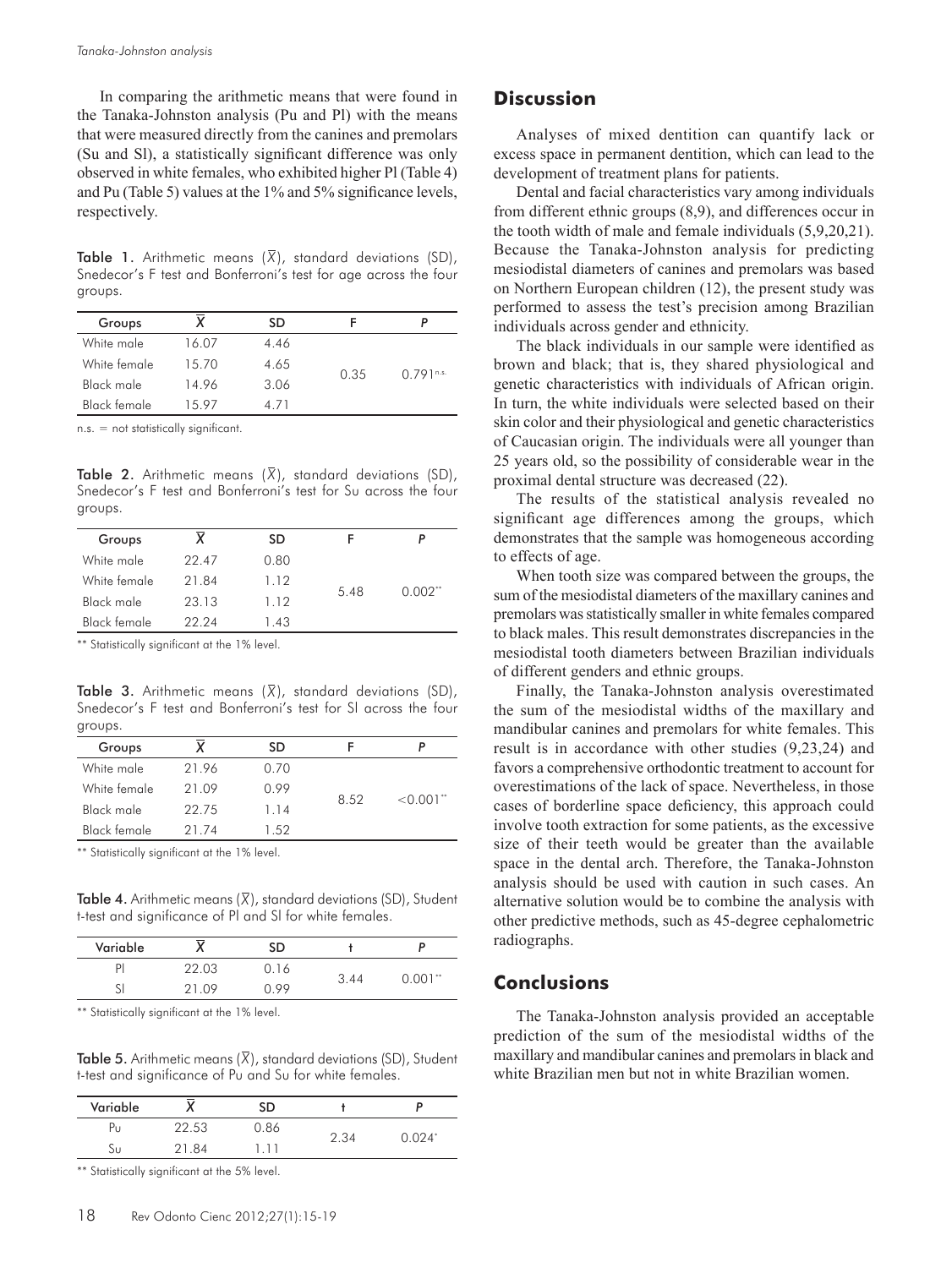In comparing the arithmetic means that were found in the Tanaka-Johnston analysis (Pu and Pl) with the means that were measured directly from the canines and premolars (Su and Sl), a statistically significant difference was only observed in white females, who exhibited higher Pl (Table 4) and Pu (Table 5) values at the 1% and 5% significance levels, respectively.

Table 1. Arithmetic means  $(\overline{X})$ , standard deviations (SD), Snedecor's F test and Bonferroni's test for age across the four groups.

| Groups       | x     | SD   |      |                         |
|--------------|-------|------|------|-------------------------|
| White male   | 16.07 | 4.46 | 0.35 | $0.791$ <sup>n.s.</sup> |
| White female | 15.70 | 4.65 |      |                         |
| Black male   | 14.96 | 3.06 |      |                         |
| Black female | 1.597 | 471  |      |                         |

n.s. = not statistically significant.

Table 2. Arithmetic means  $(\overline{X})$ , standard deviations (SD), Snedecor's F test and Bonferroni's test for Su across the four groups.

| Groups       | x     | SD   | F    |                       |
|--------------|-------|------|------|-----------------------|
| White male   | 22.47 | 0.80 | 5.48 | $0.002$ <sup>**</sup> |
| White female | 21.84 | 1.12 |      |                       |
| Black male   | 23.13 | 1.12 |      |                       |
| Black female | 22.24 | 1.43 |      |                       |

\*\* Statistically significant at the 1% level.

Table 3. Arithmetic means  $(\overline{X})$ , standard deviations (SD), Snedecor's F test and Bonferroni's test for Sl across the four groups.

| Groups       |       | SD   |      |                         |
|--------------|-------|------|------|-------------------------|
| White male   | 21.96 | 0.70 | 8.52 | $< 0.001$ <sup>**</sup> |
| White female | 21.09 | 0.99 |      |                         |
| Black male   | 22.75 | 1 14 |      |                         |
| Black female | 2174  | 1.52 |      |                         |

\*\* Statistically significant at the 1% level.

Table 4. Arithmetic means  $(\overline{X})$ , standard deviations (SD), Student t-test and significance of Pl and Sl for white females.

| Variable | $\overline{\phantom{a}}$ | SD   |      |                       |
|----------|--------------------------|------|------|-----------------------|
| P        | 22.03                    | 0.16 | 3.44 | $0.001$ <sup>**</sup> |
| SI       | 21.09                    | በ 99 |      |                       |

\*\* Statistically significant at the 1% level.

Table 5. Arithmetic means  $(\overline{X})$ , standard deviations (SD), Student t-test and significance of Pu and Su for white females.

| Variable |       | SD   |      | D         |
|----------|-------|------|------|-----------|
| Pυ       | 22.53 | 0.86 | 2.34 | $0.024^*$ |
| Sυ       | .84   | 1    |      |           |

\*\* Statistically significant at the 5% level.

# **Discussion**

Analyses of mixed dentition can quantify lack or excess space in permanent dentition, which can lead to the development of treatment plans for patients.

Dental and facial characteristics vary among individuals from different ethnic groups (8,9), and differences occur in the tooth width of male and female individuals (5,9,20,21). Because the Tanaka-Johnston analysis for predicting mesiodistal diameters of canines and premolars was based on Northern European children (12), the present study was performed to assess the test's precision among Brazilian individuals across gender and ethnicity.

The black individuals in our sample were identified as brown and black; that is, they shared physiological and genetic characteristics with individuals of African origin. In turn, the white individuals were selected based on their skin color and their physiological and genetic characteristics of Caucasian origin. The individuals were all younger than 25 years old, so the possibility of considerable wear in the proximal dental structure was decreased (22).

The results of the statistical analysis revealed no significant age differences among the groups, which demonstrates that the sample was homogeneous according to effects of age.

When tooth size was compared between the groups, the sum of the mesiodistal diameters of the maxillary canines and premolars was statistically smaller in white females compared to black males. This result demonstrates discrepancies in the mesiodistal tooth diameters between Brazilian individuals of different genders and ethnic groups.

Finally, the Tanaka-Johnston analysis overestimated the sum of the mesiodistal widths of the maxillary and mandibular canines and premolars for white females. This result is in accordance with other studies (9,23,24) and favors a comprehensive orthodontic treatment to account for overestimations of the lack of space. Nevertheless, in those cases of borderline space deficiency, this approach could involve tooth extraction for some patients, as the excessive size of their teeth would be greater than the available space in the dental arch. Therefore, the Tanaka-Johnston analysis should be used with caution in such cases. An alternative solution would be to combine the analysis with other predictive methods, such as 45-degree cephalometric radiographs.

# **Conclusions**

The Tanaka-Johnston analysis provided an acceptable prediction of the sum of the mesiodistal widths of the maxillary and mandibular canines and premolars in black and white Brazilian men but not in white Brazilian women.